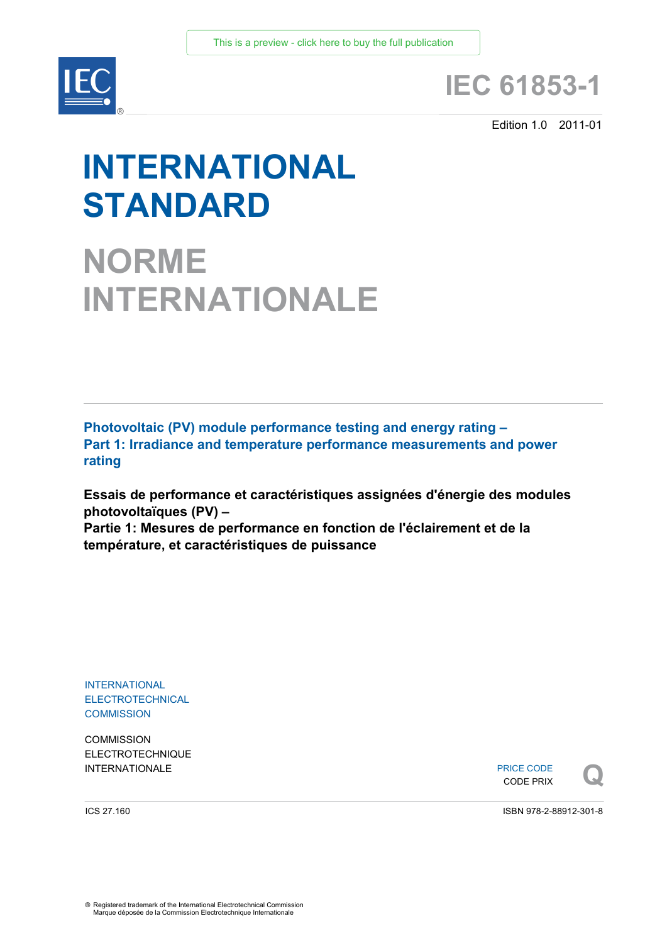

# **IEC 61853-1**

Edition 1.0 2011-01

# **INTERNATIONAL STANDARD**

**NORME INTERNATIONALE**

**Photovoltaic (PV) module performance testing and energy rating – Part 1: Irradiance and temperature performance measurements and power rating**

**Essais de performance et caractéristiques assignées d'énergie des modules photovoltaïques (PV) –** 

**Partie 1: Mesures de performance en fonction de l'éclairement et de la température, et caractéristiques de puissance** 

INTERNATIONAL **ELECTROTECHNICAL COMMISSION** 

**COMMISSION** ELECTROTECHNIQUE

INTERNATIONALE PRICE CODE PRIX PRICE CODE CODE PRIX



ICS 27.160

ISBN 978-2-88912-301-8

® Registered trademark of the International Electrotechnical Commission Marque déposée de la Commission Electrotechnique Internationale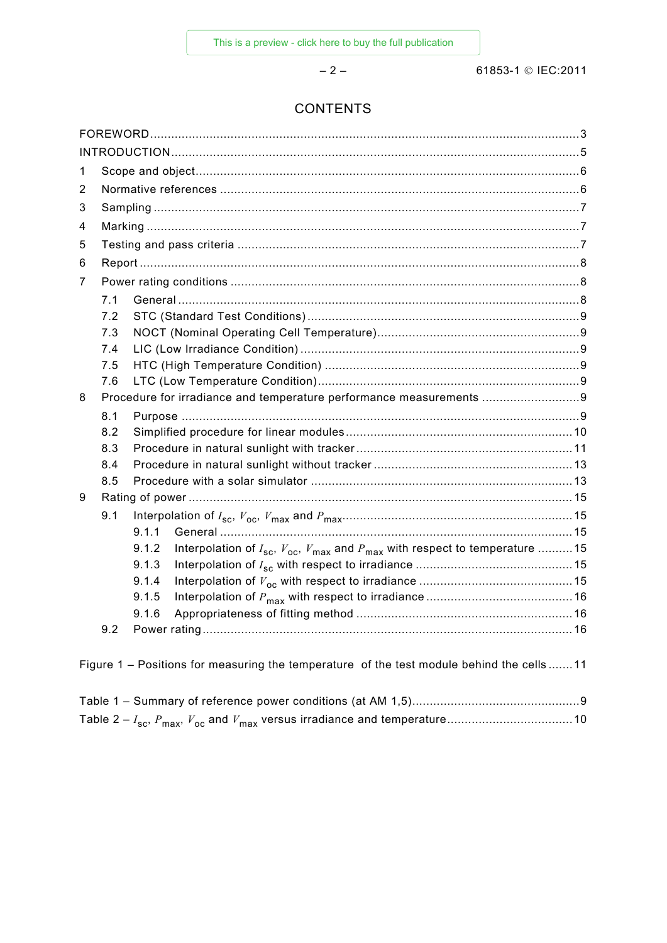$-2-$ 

# **CONTENTS**

| 1 |                                                                     |                                                                                                        |  |  |  |  |
|---|---------------------------------------------------------------------|--------------------------------------------------------------------------------------------------------|--|--|--|--|
| 2 |                                                                     |                                                                                                        |  |  |  |  |
| 3 |                                                                     |                                                                                                        |  |  |  |  |
| 4 |                                                                     |                                                                                                        |  |  |  |  |
| 5 |                                                                     |                                                                                                        |  |  |  |  |
| 6 |                                                                     |                                                                                                        |  |  |  |  |
| 7 |                                                                     |                                                                                                        |  |  |  |  |
|   | 7.1                                                                 |                                                                                                        |  |  |  |  |
|   | 7.2                                                                 |                                                                                                        |  |  |  |  |
|   | 7.3                                                                 |                                                                                                        |  |  |  |  |
|   | 7.4                                                                 |                                                                                                        |  |  |  |  |
|   | 7.5                                                                 |                                                                                                        |  |  |  |  |
|   | 7.6                                                                 |                                                                                                        |  |  |  |  |
| 8 | Procedure for irradiance and temperature performance measurements 9 |                                                                                                        |  |  |  |  |
|   | 8.1                                                                 |                                                                                                        |  |  |  |  |
|   | 8.2                                                                 |                                                                                                        |  |  |  |  |
|   | 8.3                                                                 |                                                                                                        |  |  |  |  |
|   | 8.4                                                                 |                                                                                                        |  |  |  |  |
|   | 8.5                                                                 |                                                                                                        |  |  |  |  |
| 9 |                                                                     |                                                                                                        |  |  |  |  |
|   | 9.1                                                                 |                                                                                                        |  |  |  |  |
|   |                                                                     | 9.1.1                                                                                                  |  |  |  |  |
|   |                                                                     | Interpolation of $I_{sc}$ , $V_{oc}$ , $V_{max}$ and $P_{max}$ with respect to temperature 15<br>9.1.2 |  |  |  |  |
|   |                                                                     | 9.1.3                                                                                                  |  |  |  |  |
|   |                                                                     | 9.1.4                                                                                                  |  |  |  |  |
|   |                                                                     | 9.1.5                                                                                                  |  |  |  |  |
|   |                                                                     | 9.1.6                                                                                                  |  |  |  |  |
|   | 9.2                                                                 |                                                                                                        |  |  |  |  |
|   |                                                                     |                                                                                                        |  |  |  |  |
|   |                                                                     | Figure 1 - Positions for measuring the temperature of the test module behind the cells  11             |  |  |  |  |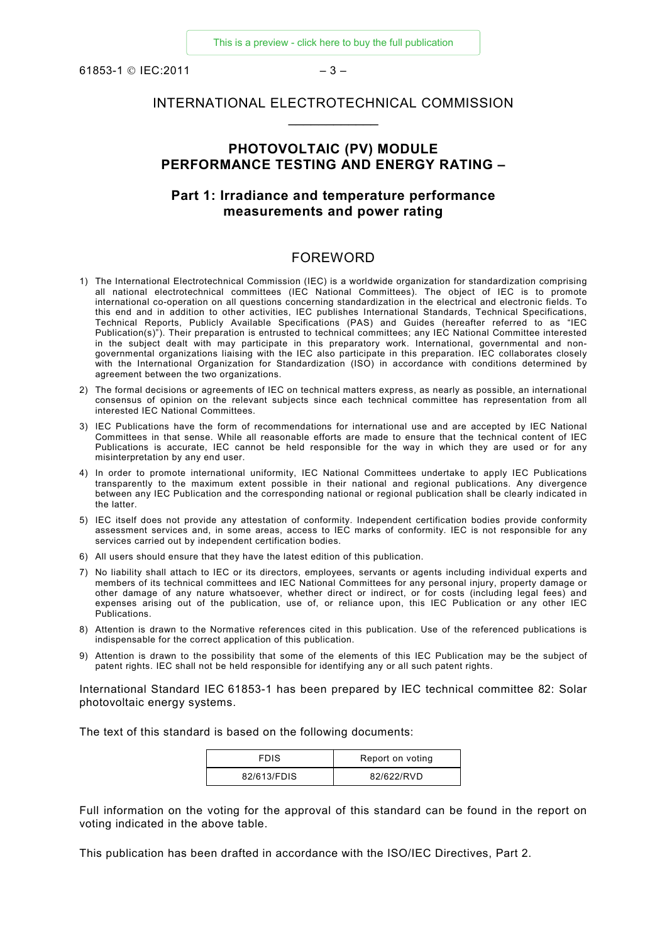61853-1 © IEC:2011 – 3 –

# INTERNATIONAL ELECTROTECHNICAL COMMISSION  $\overline{\phantom{a}}$

#### **PHOTOVOLTAIC (PV) MODULE PERFORMANCE TESTING AND ENERGY RATING –**

#### **Part 1: Irradiance and temperature performance measurements and power rating**

#### FOREWORD

- 1) The International Electrotechnical Commission (IEC) is a worldwide organization for standardization comprising all national electrotechnical committees (IEC National Committees). The object of IEC is to promote international co-operation on all questions concerning standardization in the electrical and electronic fields. To this end and in addition to other activities, IEC publishes International Standards, Technical Specifications, Technical Reports, Publicly Available Specifications (PAS) and Guides (hereafter referred to as "IEC Publication(s)"). Their preparation is entrusted to technical committees; any IEC National Committee interested in the subject dealt with may participate in this preparatory work. International, governmental and nongovernmental organizations liaising with the IEC also participate in this preparation. IEC collaborates closely with the International Organization for Standardization (ISO) in accordance with conditions determined by agreement between the two organizations.
- 2) The formal decisions or agreements of IEC on technical matters express, as nearly as possible, an international consensus of opinion on the relevant subjects since each technical committee has representation from all interested IEC National Committees.
- 3) IEC Publications have the form of recommendations for international use and are accepted by IEC National Committees in that sense. While all reasonable efforts are made to ensure that the technical content of IEC Publications is accurate, IEC cannot be held responsible for the way in which they are used or for any misinterpretation by any end user.
- 4) In order to promote international uniformity, IEC National Committees undertake to apply IEC Publications transparently to the maximum extent possible in their national and regional publications. Any divergence between any IEC Publication and the corresponding national or regional publication shall be clearly indicated in the latter.
- 5) IEC itself does not provide any attestation of conformity. Independent certification bodies provide conformity assessment services and, in some areas, access to IEC marks of conformity. IEC is not responsible for any services carried out by independent certification bodies.
- 6) All users should ensure that they have the latest edition of this publication.
- 7) No liability shall attach to IEC or its directors, employees, servants or agents including individual experts and members of its technical committees and IEC National Committees for any personal injury, property damage or other damage of any nature whatsoever, whether direct or indirect, or for costs (including legal fees) and expenses arising out of the publication, use of, or reliance upon, this IEC Publication or any other IEC Publications.
- 8) Attention is drawn to the Normative references cited in this publication. Use of the referenced publications is indispensable for the correct application of this publication.
- 9) Attention is drawn to the possibility that some of the elements of this IEC Publication may be the subject of patent rights. IEC shall not be held responsible for identifying any or all such patent rights.

International Standard IEC 61853-1 has been prepared by IEC technical committee 82: Solar photovoltaic energy systems.

The text of this standard is based on the following documents:

| <b>FDIS</b> | Report on voting |
|-------------|------------------|
| 82/613/FDIS | 82/622/RVD       |

Full information on the voting for the approval of this standard can be found in the report on voting indicated in the above table.

This publication has been drafted in accordance with the ISO/IEC Directives, Part 2.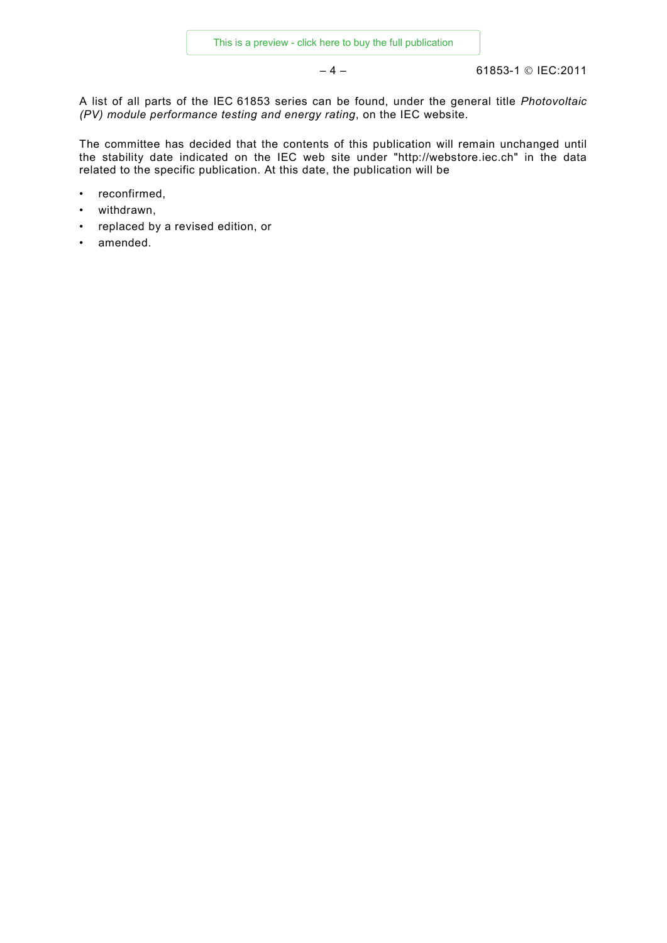$-4 -$  61853-1 © IEC:2011

A list of all parts of the IEC 61853 series can be found, under the general title *Photovoltaic (PV) module performance testing and energy rating*, on the IEC website.

The committee has decided that the contents of this publication will remain unchanged until the stability date indicated on the IEC web site under "http://webstore.iec.ch" in the data related to the specific publication. At this date, the publication will be

- reconfirmed,
- withdrawn,
- replaced by a revised edition, or
- amended.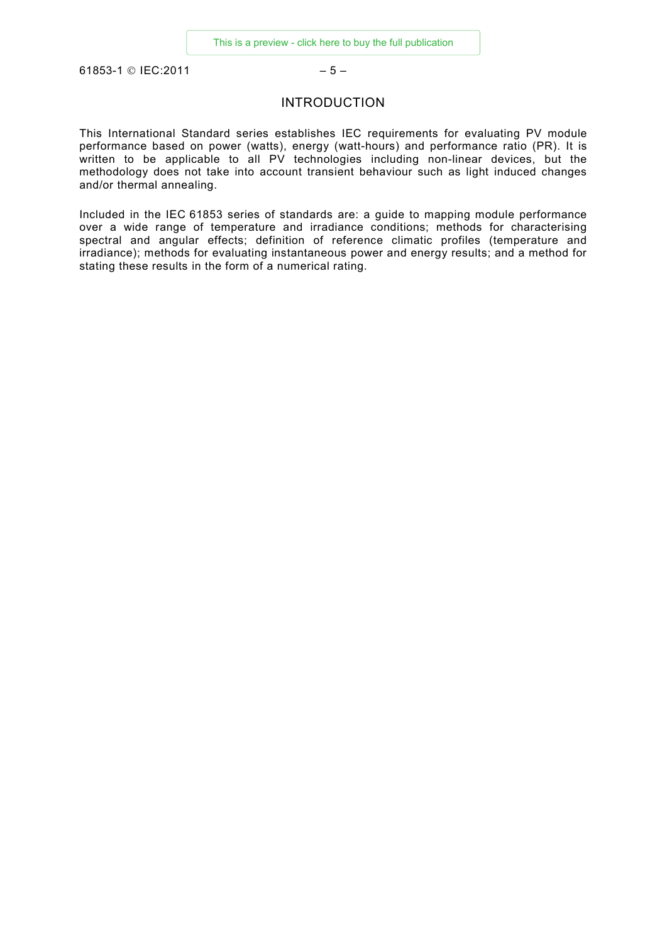61853-1 © IEC:2011 – 5 –

#### INTRODUCTION

This International Standard series establishes IEC requirements for evaluating PV module performance based on power (watts), energy (watt-hours) and performance ratio (PR). It is written to be applicable to all PV technologies including non-linear devices, but the methodology does not take into account transient behaviour such as light induced changes and/or thermal annealing.

Included in the IEC 61853 series of standards are: a guide to mapping module performance over a wide range of temperature and irradiance conditions; methods for characterising spectral and angular effects; definition of reference climatic profiles (temperature and irradiance); methods for evaluating instantaneous power and energy results; and a method for stating these results in the form of a numerical rating.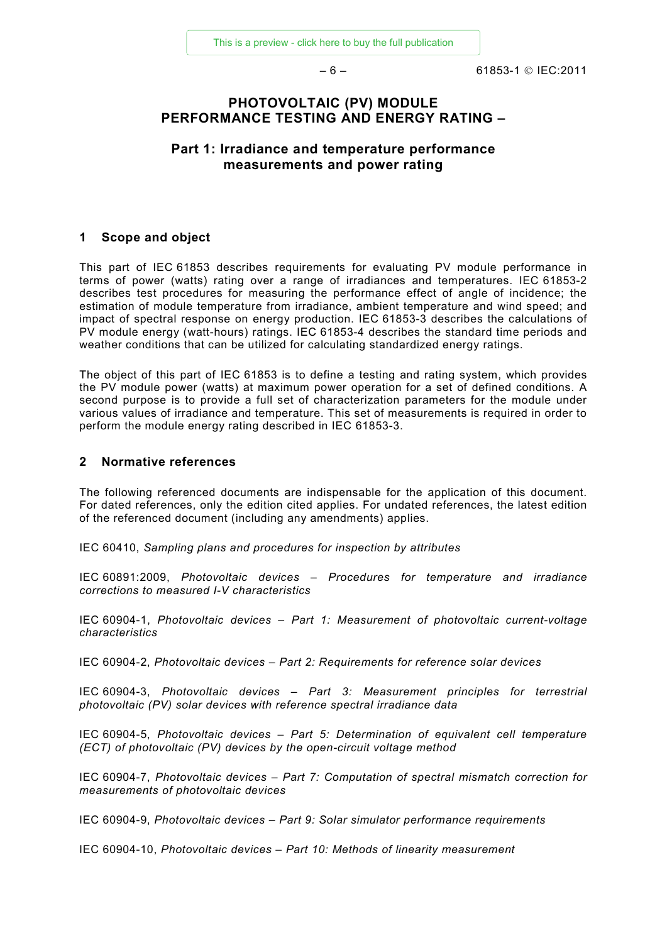$-6 -$  61853-1 © IEC:2011

#### **PHOTOVOLTAIC (PV) MODULE PERFORMANCE TESTING AND ENERGY RATING –**

# **Part 1: Irradiance and temperature performance measurements and power rating**

#### **1 Scope and object**

This part of IEC 61853 describes requirements for evaluating PV module performance in terms of power (watts) rating over a range of irradiances and temperatures. IEC 61853-2 describes test procedures for measuring the performance effect of angle of incidence; the estimation of module temperature from irradiance, ambient temperature and wind speed; and impact of spectral response on energy production. IEC 61853-3 describes the calculations of PV module energy (watt-hours) ratings. IEC 61853-4 describes the standard time periods and weather conditions that can be utilized for calculating standardized energy ratings.

The object of this part of IEC 61853 is to define a testing and rating system, which provides the PV module power (watts) at maximum power operation for a set of defined conditions. A second purpose is to provide a full set of characterization parameters for the module under various values of irradiance and temperature. This set of measurements is required in order to perform the module energy rating described in IEC 61853-3.

#### **2 Normative references**

The following referenced documents are indispensable for the application of this document. For dated references, only the edition cited applies. For undated references, the latest edition of the referenced document (including any amendments) applies.

IEC 60410, *Sampling plans and procedures for inspection by attributes*

IEC 60891:2009, *Photovoltaic devices – Procedures for temperature and irradiance corrections to measured I-V characteristics*

IEC 60904-1, *Photovoltaic devices – Part 1: Measurement of photovoltaic current-voltage characteristics*

IEC 60904-2, *Photovoltaic devices – Part 2: Requirements for reference solar devices*

IEC 60904-3, *Photovoltaic devices – Part 3: Measurement principles for terrestrial photovoltaic (PV) solar devices with reference spectral irradiance data*

IEC 60904-5, *Photovoltaic devices – Part 5: Determination of equivalent cell temperature (ECT) of photovoltaic (PV) devices by the open-circuit voltage method*

IEC 60904-7, *Photovoltaic devices – Part 7: Computation of spectral mismatch correction for measurements of photovoltaic devices* 

IEC 60904-9, *Photovoltaic devices – Part 9: Solar simulator performance requirements*

IEC 60904-10, *Photovoltaic devices – Part 10: Methods of linearity measurement*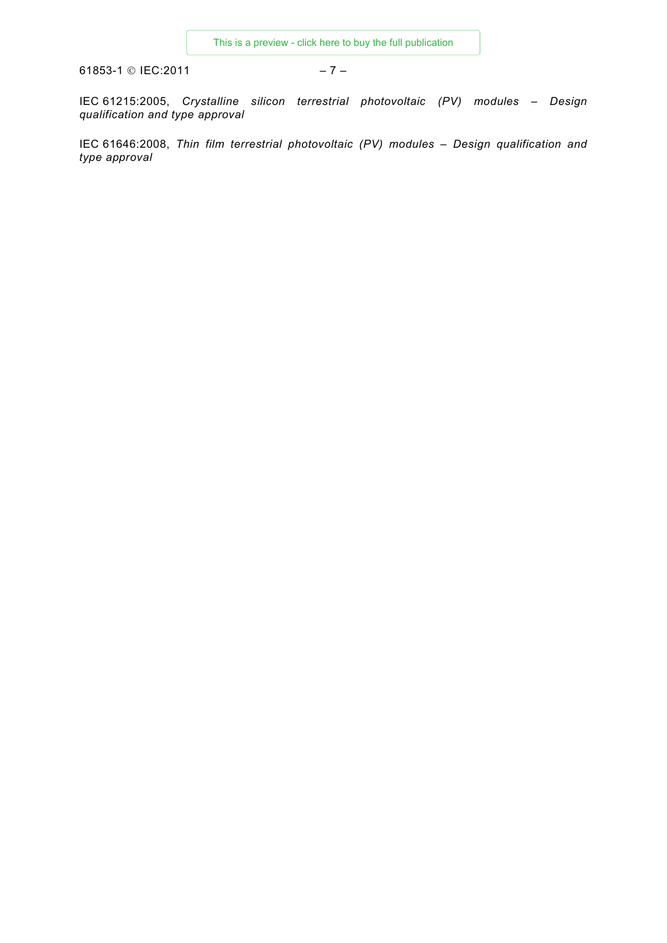61853-1 © IEC:2011 – 7 –

IEC 61215:2005, *Crystalline silicon terrestrial photovoltaic (PV) modules – Design qualification and type approval*

IEC 61646:2008, *Thin film terrestrial photovoltaic (PV) modules – Design qualification and type approval*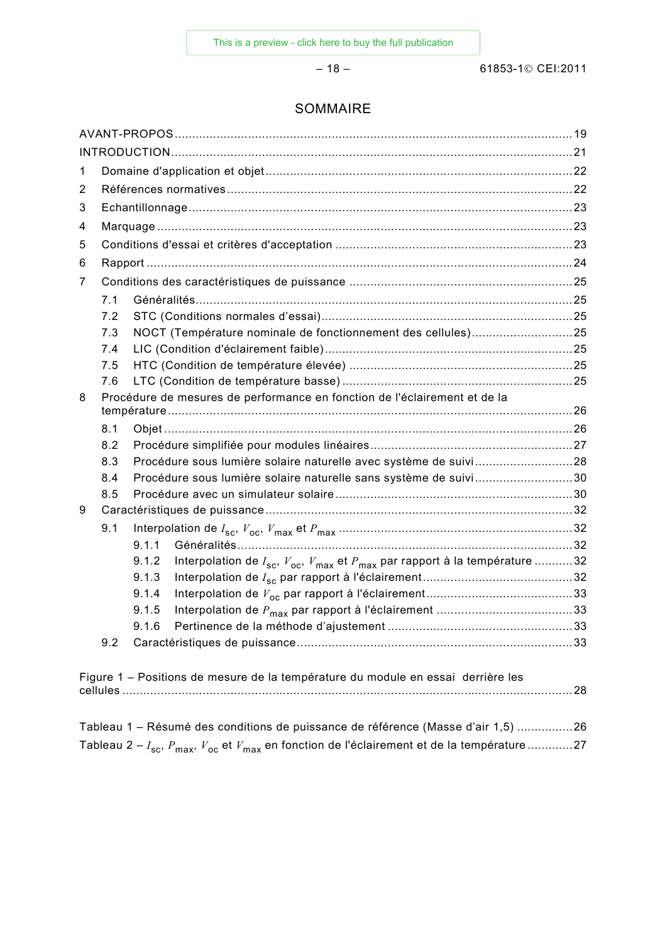# SOMMAIRE

| 1                                                                                                             |                                                                                  |       |                                                                                               |  |  |  |  |  |
|---------------------------------------------------------------------------------------------------------------|----------------------------------------------------------------------------------|-------|-----------------------------------------------------------------------------------------------|--|--|--|--|--|
| 2                                                                                                             |                                                                                  |       |                                                                                               |  |  |  |  |  |
| 3                                                                                                             |                                                                                  |       |                                                                                               |  |  |  |  |  |
| 4                                                                                                             |                                                                                  |       |                                                                                               |  |  |  |  |  |
| 5                                                                                                             |                                                                                  |       |                                                                                               |  |  |  |  |  |
| 6                                                                                                             |                                                                                  |       |                                                                                               |  |  |  |  |  |
| 7                                                                                                             |                                                                                  |       |                                                                                               |  |  |  |  |  |
|                                                                                                               | 7.1                                                                              |       |                                                                                               |  |  |  |  |  |
|                                                                                                               | 7.2                                                                              |       |                                                                                               |  |  |  |  |  |
|                                                                                                               | 7.3                                                                              |       | NOCT (Température nominale de fonctionnement des cellules)25                                  |  |  |  |  |  |
|                                                                                                               | 7.4                                                                              |       |                                                                                               |  |  |  |  |  |
|                                                                                                               | 7.5                                                                              |       |                                                                                               |  |  |  |  |  |
|                                                                                                               | 7.6                                                                              |       |                                                                                               |  |  |  |  |  |
| 8                                                                                                             |                                                                                  |       | Procédure de mesures de performance en fonction de l'éclairement et de la                     |  |  |  |  |  |
|                                                                                                               |                                                                                  |       |                                                                                               |  |  |  |  |  |
|                                                                                                               | 8.1                                                                              |       |                                                                                               |  |  |  |  |  |
|                                                                                                               | 8.2                                                                              |       |                                                                                               |  |  |  |  |  |
|                                                                                                               | 8.3                                                                              |       | Procédure sous lumière solaire naturelle avec système de suivi28                              |  |  |  |  |  |
|                                                                                                               | 8.4<br>8.5                                                                       |       | Procédure sous lumière solaire naturelle sans système de suivi30                              |  |  |  |  |  |
| 9                                                                                                             |                                                                                  |       |                                                                                               |  |  |  |  |  |
|                                                                                                               | 9.1                                                                              |       |                                                                                               |  |  |  |  |  |
|                                                                                                               |                                                                                  | 9.1.1 |                                                                                               |  |  |  |  |  |
|                                                                                                               |                                                                                  | 9.1.2 | Interpolation de $I_{sc}$ , $V_{oc}$ , $V_{max}$ et $P_{max}$ par rapport à la température 32 |  |  |  |  |  |
|                                                                                                               |                                                                                  | 9.1.3 |                                                                                               |  |  |  |  |  |
|                                                                                                               |                                                                                  | 9.1.4 |                                                                                               |  |  |  |  |  |
|                                                                                                               |                                                                                  | 9.1.5 |                                                                                               |  |  |  |  |  |
|                                                                                                               |                                                                                  | 9.1.6 |                                                                                               |  |  |  |  |  |
|                                                                                                               | 9.2                                                                              |       |                                                                                               |  |  |  |  |  |
|                                                                                                               |                                                                                  |       |                                                                                               |  |  |  |  |  |
|                                                                                                               |                                                                                  |       | Figure 1 – Positions de mesure de la température du module en essai derrière les              |  |  |  |  |  |
|                                                                                                               |                                                                                  |       |                                                                                               |  |  |  |  |  |
|                                                                                                               |                                                                                  |       |                                                                                               |  |  |  |  |  |
|                                                                                                               | Tableau 1 – Résumé des conditions de puissance de référence (Masse d'air 1,5) 26 |       |                                                                                               |  |  |  |  |  |
| Tableau 2 – $I_{sc}$ , $P_{max}$ , $V_{oc}$ et $V_{max}$ en fonction de l'éclairement et de la température 27 |                                                                                  |       |                                                                                               |  |  |  |  |  |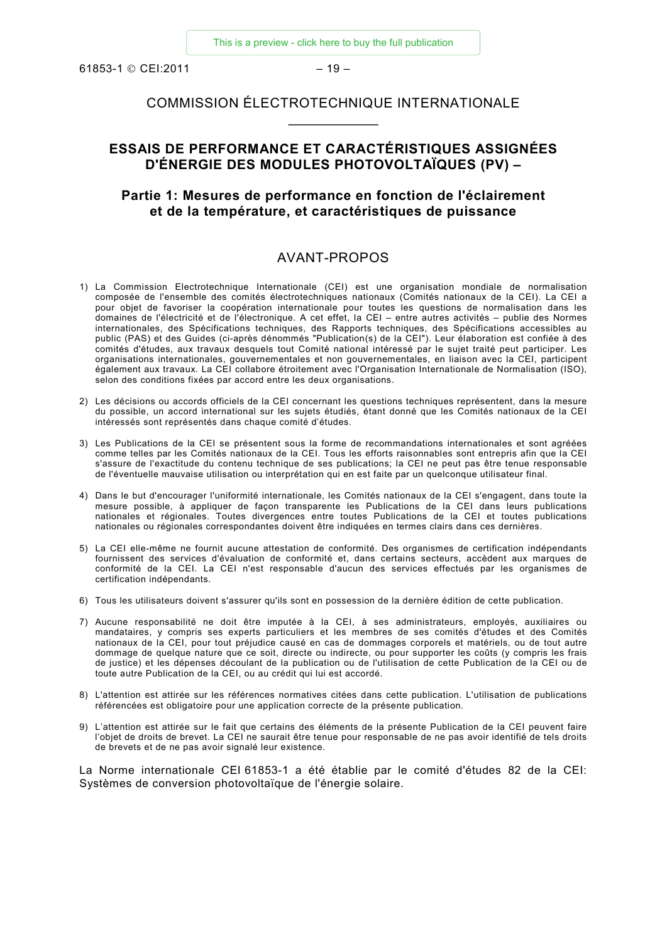$61853-1$  © CEI:2011 – 19 –

# COMMISSION ÉLECTROTECHNIQUE INTERNATIONALE  $\overline{\phantom{a}}$

# **ESSAIS DE PERFORMANCE ET CARACTÉRISTIQUES ASSIGNÉES D'ÉNERGIE DES MODULES PHOTOVOLTAÏQUES (PV) –**

#### **Partie 1: Mesures de performance en fonction de l'éclairement et de la température, et caractéristiques de puissance**

#### AVANT-PROPOS

- 1) La Commission Electrotechnique Internationale (CEI) est une organisation mondiale de normalisation composée de l'ensemble des comités électrotechniques nationaux (Comités nationaux de la CEI). La CEI a pour objet de favoriser la coopération internationale pour toutes les questions de normalisation dans les domaines de l'électricité et de l'électronique. A cet effet, la CEI – entre autres activités – publie des Normes internationales, des Spécifications techniques, des Rapports techniques, des Spécifications accessibles au public (PAS) et des Guides (ci-après dénommés "Publication(s) de la CEI"). Leur élaboration est confiée à des comités d'études, aux travaux desquels tout Comité national intéressé par le sujet traité peut participer. Les organisations internationales, gouvernementales et non gouvernementales, en liaison avec la CEI, participent également aux travaux. La CEI collabore étroitement avec l'Organisation Internationale de Normalisation (ISO), selon des conditions fixées par accord entre les deux organisations.
- 2) Les décisions ou accords officiels de la CEI concernant les questions techniques représentent, dans la mesure du possible, un accord international sur les sujets étudiés, étant donné que les Comités nationaux de la CEI intéressés sont représentés dans chaque comité d'études.
- 3) Les Publications de la CEI se présentent sous la forme de recommandations internationales et sont agréées comme telles par les Comités nationaux de la CEI. Tous les efforts raisonnables sont entrepris afin que la CEI s'assure de l'exactitude du contenu technique de ses publications; la CEI ne peut pas être tenue responsable de l'éventuelle mauvaise utilisation ou interprétation qui en est faite par un quelconque utilisateur final.
- 4) Dans le but d'encourager l'uniformité internationale, les Comités nationaux de la CEI s'engagent, dans toute la mesure possible, à appliquer de façon transparente les Publications de la CEI dans leurs publications nationales et régionales. Toutes divergences entre toutes Publications de la CEI et toutes publications nationales ou régionales correspondantes doivent être indiquées en termes clairs dans ces dernières.
- 5) La CEI elle-même ne fournit aucune attestation de conformité. Des organismes de certification indépendants fournissent des services d'évaluation de conformité et, dans certains secteurs, accèdent aux marques de conformité de la CEI. La CEI n'est responsable d'aucun des services effectués par les organismes de certification indépendants.
- 6) Tous les utilisateurs doivent s'assurer qu'ils sont en possession de la dernière édition de cette publication.
- 7) Aucune responsabilité ne doit être imputée à la CEI, à ses administrateurs, employés, auxiliaires ou mandataires, y compris ses experts particuliers et les membres de ses comités d'études et des Comités nationaux de la CEI, pour tout préjudice causé en cas de dommages corporels et matériels, ou de tout autre dommage de quelque nature que ce soit, directe ou indirecte, ou pour supporter les coûts (y compris les frais de justice) et les dépenses découlant de la publication ou de l'utilisation de cette Publication de la CEI ou de toute autre Publication de la CEI, ou au crédit qui lui est accordé.
- 8) L'attention est attirée sur les références normatives citées dans cette publication. L'utilisation de publications référencées est obligatoire pour une application correcte de la présente publication.
- 9) L'attention est attirée sur le fait que certains des éléments de la présente Publication de la CEI peuvent faire l'objet de droits de brevet. La CEI ne saurait être tenue pour responsable de ne pas avoir identifié de tels droits de brevets et de ne pas avoir signalé leur existence.

La Norme internationale CEI 61853-1 a été établie par le comité d'études 82 de la CEI: Systèmes de conversion photovoltaïque de l'énergie solaire.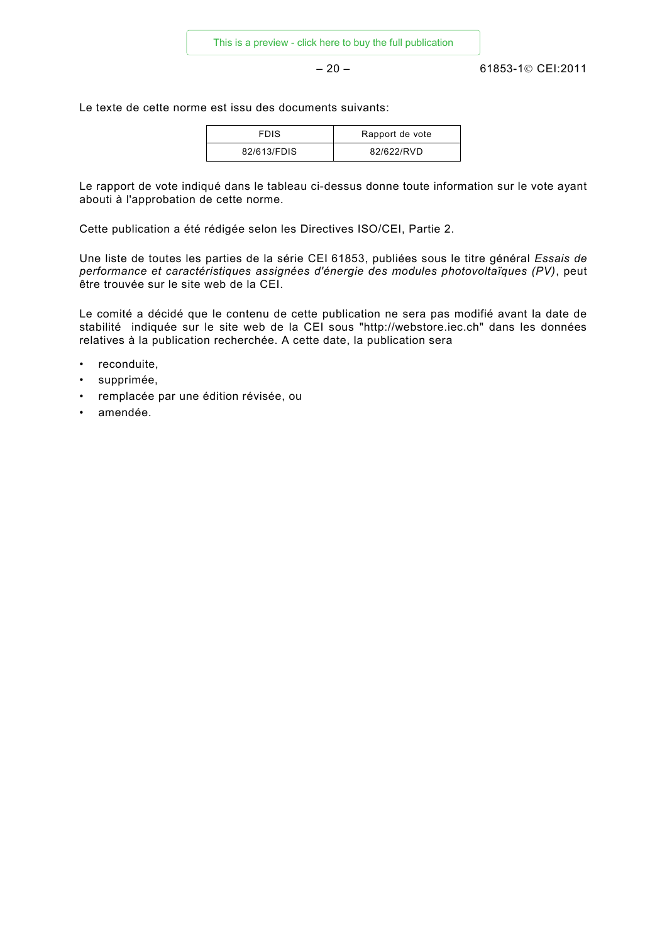$-20 - 61853-1$ © CEI:2011

Le texte de cette norme est issu des documents suivants:

| <b>FDIS</b> | Rapport de vote |
|-------------|-----------------|
| 82/613/FDIS | 82/622/RVD      |

Le rapport de vote indiqué dans le tableau ci-dessus donne toute information sur le vote ayant abouti à l'approbation de cette norme.

Cette publication a été rédigée selon les Directives ISO/CEI, Partie 2.

Une liste de toutes les parties de la série CEI 61853, publiées sous le titre général *Essais de performance et caractéristiques assignées d'énergie des modules photovoltaïques (PV)*, peut être trouvée sur le site web de la CEI.

Le comité a décidé que le contenu de cette publication ne sera pas modifié avant la date de stabilité indiquée sur le site web de la CEI sous "http://webstore.iec.ch" dans les données relatives à la publication recherchée. A cette date, la publication sera

- reconduite,
- supprimée,
- remplacée par une édition révisée, ou
- amendée.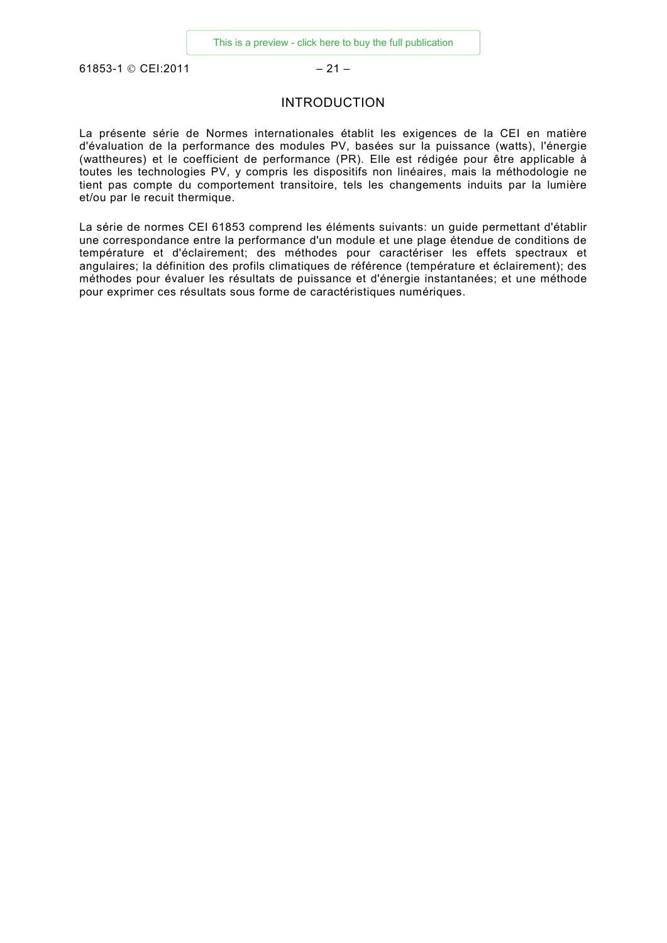61853-1 © CEI:2011 - 21 -

#### INTRODUCTION

La présente série de Normes internationales établit les exigences de la CEI en matière d'évaluation de la performance des modules PV, basées sur la puissance (watts), l'énergie (wattheures) et le coefficient de performance (PR). Elle est rédigée pour être applicable à toutes les technologies PV, y compris les dispositifs non linéaires, mais la méthodologie ne tient pas compte du comportement transitoire, tels les changements induits par la lumière et/ou par le recuit thermique.

La série de normes CEI 61853 comprend les éléments suivants: un guide permettant d'établir une correspondance entre la performance d'un module et une plage étendue de conditions de température et d'éclairement; des méthodes pour caractériser les effets spectraux et angulaires; la définition des profils climatiques de référence (température et éclairement); des méthodes pour évaluer les résultats de puissance et d'énergie instantanées; et une méthode pour exprimer ces résultats sous forme de caractéristiques numériques.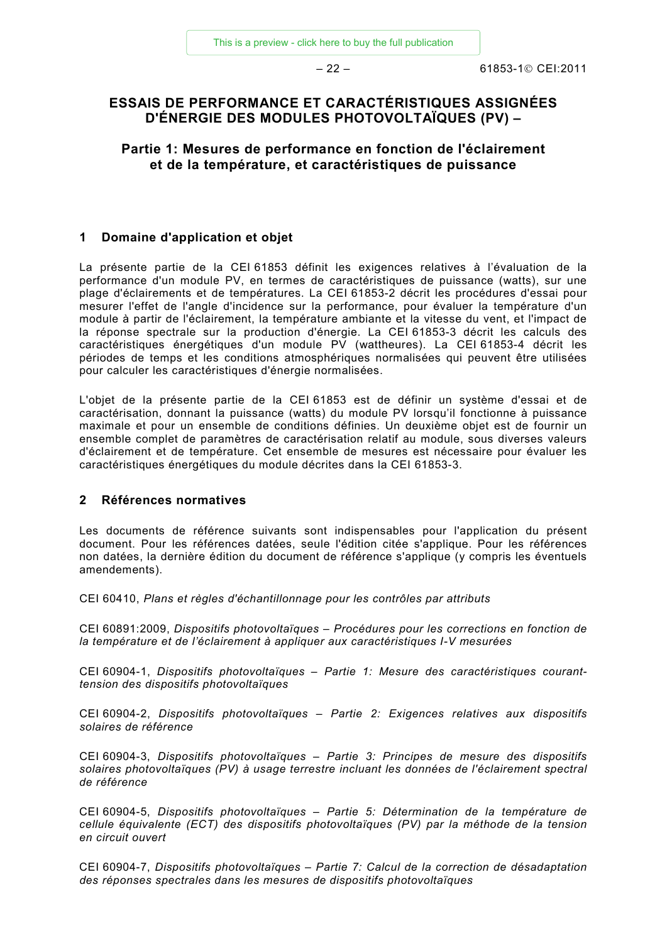# **ESSAIS DE PERFORMANCE ET CARACTÉRISTIQUES ASSIGNÉES D'ÉNERGIE DES MODULES PHOTOVOLTAÏQUES (PV) –**

**Partie 1: Mesures de performance en fonction de l'éclairement et de la température, et caractéristiques de puissance**

#### **1 Domaine d'application et objet**

La présente partie de la CEI 61853 définit les exigences relatives à l'évaluation de la performance d'un module PV, en termes de caractéristiques de puissance (watts), sur une plage d'éclairements et de températures. La CEI 61853-2 décrit les procédures d'essai pour mesurer l'effet de l'angle d'incidence sur la performance, pour évaluer la température d'un module à partir de l'éclairement, la température ambiante et la vitesse du vent, et l'impact de la réponse spectrale sur la production d'énergie. La CEI 61853-3 décrit les calculs des caractéristiques énergétiques d'un module PV (wattheures). La CEI 61853-4 décrit les périodes de temps et les conditions atmosphériques normalisées qui peuvent être utilisées pour calculer les caractéristiques d'énergie normalisées.

L'objet de la présente partie de la CEI 61853 est de définir un système d'essai et de caractérisation, donnant la puissance (watts) du module PV lorsqu'il fonctionne à puissance maximale et pour un ensemble de conditions définies. Un deuxième objet est de fournir un ensemble complet de paramètres de caractérisation relatif au module, sous diverses valeurs d'éclairement et de température. Cet ensemble de mesures est nécessaire pour évaluer les caractéristiques énergétiques du module décrites dans la CEI 61853-3.

#### **2 Références normatives**

Les documents de référence suivants sont indispensables pour l'application du présent document. Pour les références datées, seule l'édition citée s'applique. Pour les références non datées, la dernière édition du document de référence s'applique (y compris les éventuels amendements).

CEI 60410, *Plans et règles d'échantillonnage pour les contrôles par attributs*

CEI 60891:2009, *Dispositifs photovoltaïques – Procédures pour les corrections en fonction de la température et de l'éclairement à appliquer aux caractéristiques I-V mesurées*

CEI 60904-1, *Dispositifs photovoltaïques – Partie 1: Mesure des caractéristiques couranttension des dispositifs photovoltaïques*

CEI 60904-2, *Dispositifs photovoltaïques – Partie 2: Exigences relatives aux dispositifs solaires de référence*

CEI 60904-3, *Dispositifs photovoltaïques – Partie 3: Principes de mesure des dispositifs solaires photovoltaïques (PV) à usage terrestre incluant les données de l'éclairement spectral de référence*

CEI 60904-5, *Dispositifs photovoltaïques – Partie 5: Détermination de la température de cellule équivalente (ECT) des dispositifs photovoltaïques (PV) par la méthode de la tension en circuit ouvert*

CEI 60904-7, *Dispositifs photovoltaïques – Partie 7: Calcul de la correction de désadaptation des réponses spectrales dans les mesures de dispositifs photovoltaïques*